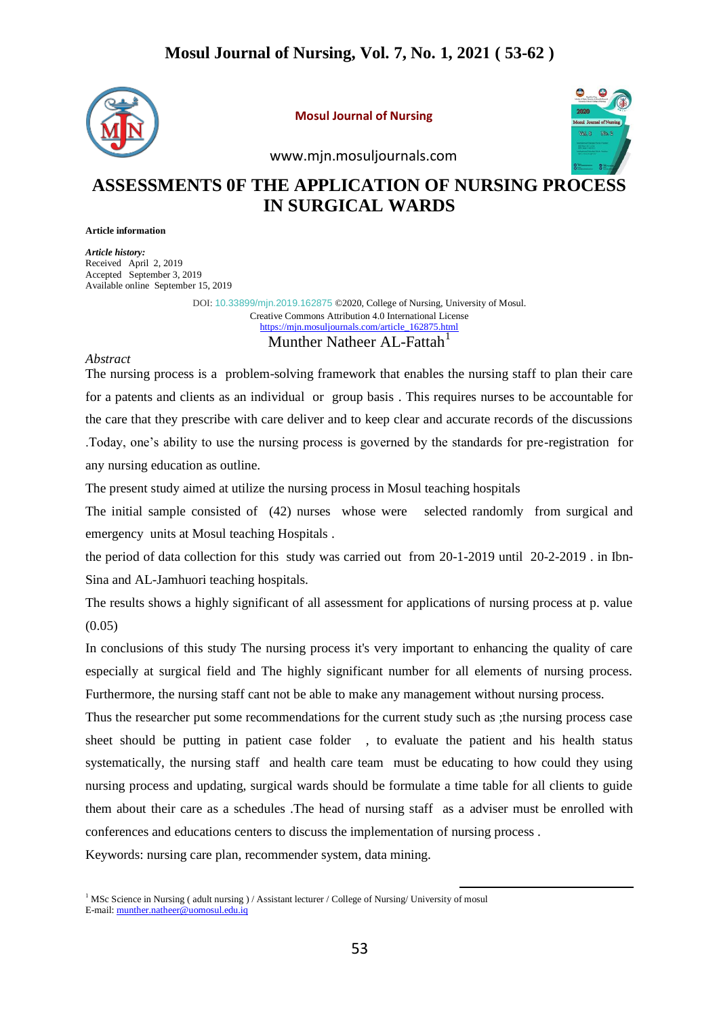

**Mosul Journal of Nursing**



www.mjn.mosuljournals.com

# **ASSESSMENTS 0F THE APPLICATION OF NURSING PROCESS IN SURGICAL WARDS**

**Article information**

*Article history:* Received April 2, 2019 Accepted September 3, 2019 Available online September 15, 2019

> DOI: [10.33899/mjn.2019.162875](http://dx.doi.org/10.33899/mjn.2019.162875) ©2020, College of Nursing, University of Mosul. [Creative Commons Attribution 4.0 International License](http://creativecommons.org/licenses/by/4.0/) [https://mjn.mosuljournals.com/article\\_162875.html](https://mjn.mosuljournals.com/article_162875.html) Munther Natheer AL-Fattah<sup>1</sup>

#### *Abstract*

The nursing process is a problem-solving framework that enables the nursing staff to plan their care for a patents and clients as an individual or group basis . This requires nurses to be accountable for the care that they prescribe with care deliver and to keep clear and accurate records of the discussions .Today, one's ability to use the nursing process is governed by the standards for pre-registration for any nursing education as outline.

The present study aimed at utilize the nursing process in Mosul teaching hospitals

The initial sample consisted of (42) nurses whose were selected randomly from surgical and emergency units at Mosul teaching Hospitals .

the period of data collection for this study was carried out from 20-1-2019 until 20-2-2019 . in Ibn-Sina and AL-Jamhuori teaching hospitals.

The results shows a highly significant of all assessment for applications of nursing process at p. value (0.05)

In conclusions of this study The nursing process it's very important to enhancing the quality of care especially at surgical field and The highly significant number for all elements of nursing process. Furthermore, the nursing staff cant not be able to make any management without nursing process.

Thus the researcher put some recommendations for the current study such as ;the nursing process case sheet should be putting in patient case folder , to evaluate the patient and his health status systematically, the nursing staff and health care team must be educating to how could they using nursing process and updating, surgical wards should be formulate a time table for all clients to guide them about their care as a schedules .The head of nursing staff as a adviser must be enrolled with conferences and educations centers to discuss the implementation of nursing process .

Keywords: nursing care plan, recommender system, data mining.

1

<sup>&</sup>lt;sup>1</sup> MSc Science in Nursing ( adult nursing ) / Assistant lecturer / College of Nursing/ University of mosul E-mail: [munther.natheer@uomosul.edu.iq](mailto:munther.natheer@uomosul.edu.iq)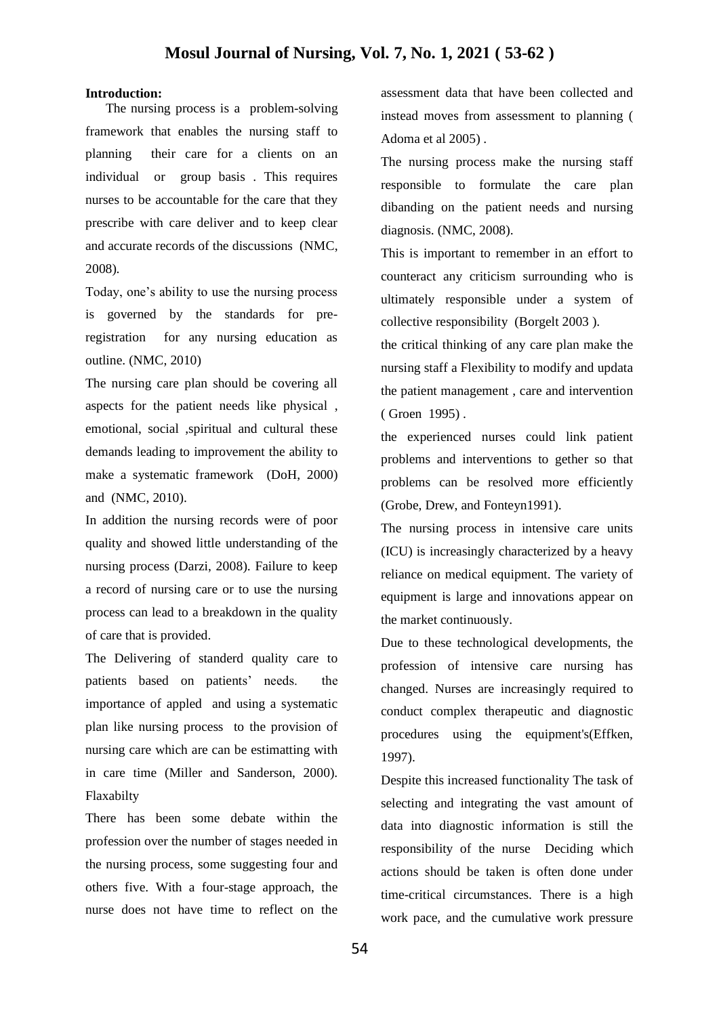### **Introduction:**

 The nursing process is a problem-solving framework that enables the nursing staff to planning their care for a clients on an individual or group basis . This requires nurses to be accountable for the care that they prescribe with care deliver and to keep clear and accurate records of the discussions (NMC, 2008)*.* 

Today, one's ability to use the nursing process is governed by the standards for preregistration for any nursing education as outline. (NMC, 2010)

The nursing care plan should be covering all aspects for the patient needs like physical , emotional, social ,spiritual and cultural these demands leading to improvement the ability to make a systematic framework (DoH, 2000) and (NMC, 2010).

In addition the nursing records were of poor quality and showed little understanding of the nursing process (Darzi, 2008). Failure to keep a record of nursing care or to use the nursing process can lead to a breakdown in the quality of care that is provided.

The Delivering of standerd quality care to patients based on patients' needs. the importance of appled and using a systematic plan like nursing process to the provision of nursing care which are can be estimatting with in care time (Miller and Sanderson, 2000). Flaxabilty

There has been some debate within the profession over the number of stages needed in the nursing process, some suggesting four and others five. With a four-stage approach, the nurse does not have time to reflect on the assessment data that have been collected and instead moves from assessment to planning ( Adoma et al 2005) .

The nursing process make the nursing staff responsible to formulate the care plan dibanding on the patient needs and nursing diagnosis. (NMC, 2008).

This is important to remember in an effort to counteract any criticism surrounding who is ultimately responsible under a system of collective responsibility (Borgelt 2003 ).

the critical thinking of any care plan make the nursing staff a Flexibility to modify and updata the patient management , care and intervention ( Groen 1995) .

the experienced nurses could link patient problems and interventions to gether so that problems can be resolved more efficiently (Grobe, Drew, and Fonteyn1991).

The nursing process in intensive care units (ICU) is increasingly characterized by a heavy reliance on medical equipment. The variety of equipment is large and innovations appear on the market continuously.

Due to these technological developments, the profession of intensive care nursing has changed. Nurses are increasingly required to conduct complex therapeutic and diagnostic procedures using the equipment's(Effken, 1997).

Despite this increased functionality The task of selecting and integrating the vast amount of data into diagnostic information is still the responsibility of the nurse Deciding which actions should be taken is often done under time-critical circumstances. There is a high work pace, and the cumulative work pressure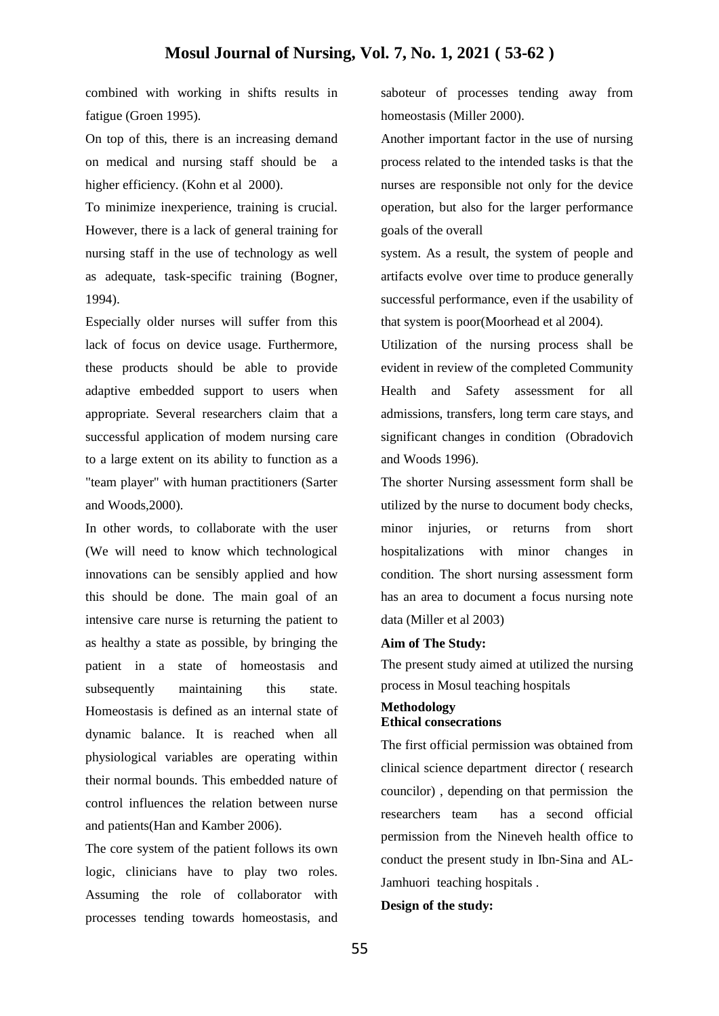combined with working in shifts results in fatigue (Groen 1995).

On top of this, there is an increasing demand on medical and nursing staff should be higher efficiency. (Kohn et al 2000).

To minimize inexperience, training is crucial. However, there is a lack of general training for nursing staff in the use of technology as well as adequate, task-specific training (Bogner, 1994).

Especially older nurses will suffer from this lack of focus on device usage. Furthermore, these products should be able to provide adaptive embedded support to users when appropriate. Several researchers claim that a successful application of modem nursing care to a large extent on its ability to function as a "team player" with human practitioners (Sarter and Woods,2000).

In other words, to collaborate with the user (We will need to know which technological innovations can be sensibly applied and how this should be done. The main goal of an intensive care nurse is returning the patient to as healthy a state as possible, by bringing the patient in a state of homeostasis and subsequently maintaining this state. Homeostasis is defined as an internal state of dynamic balance. It is reached when all physiological variables are operating within their normal bounds. This embedded nature of control influences the relation between nurse and patients(Han and Kamber 2006).

The core system of the patient follows its own logic, clinicians have to play two roles. Assuming the role of collaborator with processes tending towards homeostasis, and saboteur of processes tending away from homeostasis (Miller 2000).

Another important factor in the use of nursing process related to the intended tasks is that the nurses are responsible not only for the device operation, but also for the larger performance goals of the overall

system. As a result, the system of people and artifacts evolve over time to produce generally successful performance, even if the usability of that system is poor(Moorhead et al 2004).

Utilization of the nursing process shall be evident in review of the completed Community Health and Safety assessment for all admissions, transfers, long term care stays, and significant changes in condition (Obradovich and Woods 1996).

The shorter Nursing assessment form shall be utilized by the nurse to document body checks, minor injuries, or returns from short hospitalizations with minor changes in condition. The short nursing assessment form has an area to document a focus nursing note data (Miller et al 2003)

#### **Aim of The Study:**

The present study aimed at utilized the nursing process in Mosul teaching hospitals

# **Methodology Ethical consecrations**

The first official permission was obtained from clinical science department director ( research councilor) , depending on that permission the researchers team has a second official permission from the Nineveh health office to conduct the present study in Ibn-Sina and AL-Jamhuori teaching hospitals .

#### **Design of the study:**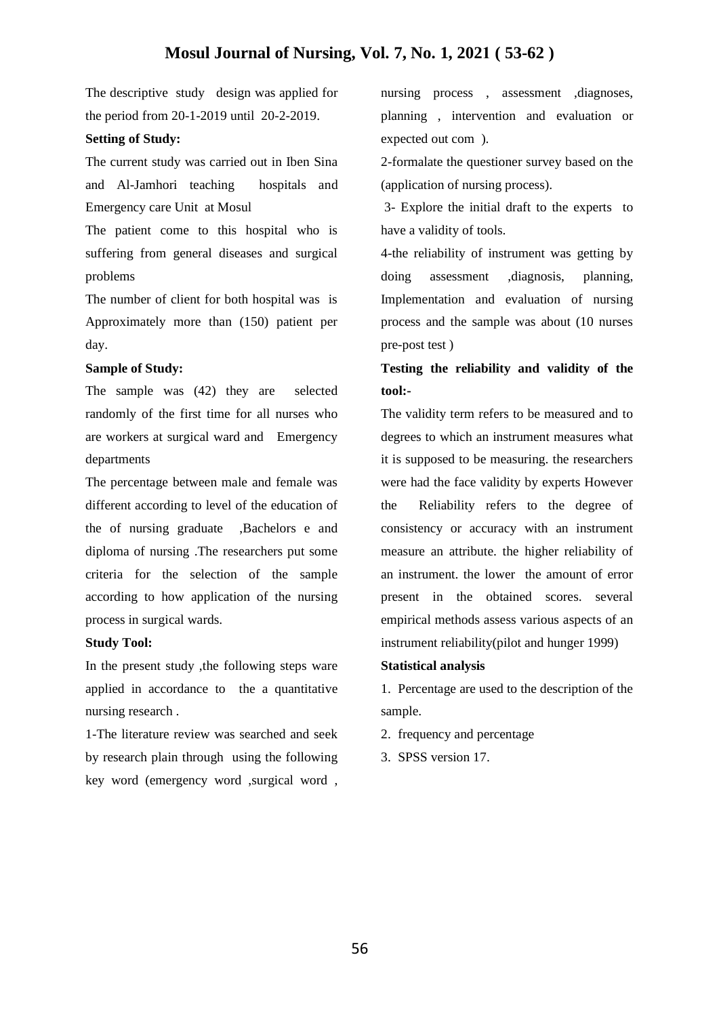The descriptive study design was applied for the period from 20-1-2019 until 20-2-2019.

## **Setting of Study:**

The current study was carried out in Iben Sina and Al-Jamhori teaching hospitals and Emergency care Unit at Mosul

The patient come to this hospital who is suffering from general diseases and surgical problems

The number of client for both hospital was is Approximately more than (150) patient per day.

## **Sample of Study:**

The sample was (42) they are selected randomly of the first time for all nurses who are workers at surgical ward and Emergency departments

The percentage between male and female was different according to level of the education of the of nursing graduate ,Bachelors e and diploma of nursing .The researchers put some criteria for the selection of the sample according to how application of the nursing process in surgical wards.

## **Study Tool:**

In the present study ,the following steps ware applied in accordance to the a quantitative nursing research .

1-The literature review was searched and seek by research plain through using the following key word (emergency word ,surgical word ,

nursing process , assessment ,diagnoses, planning , intervention and evaluation or expected out com ).

2-formalate the questioner survey based on the (application of nursing process).

3- Explore the initial draft to the experts to have a validity of tools.

4-the reliability of instrument was getting by doing assessment ,diagnosis, planning, Implementation and evaluation of nursing process and the sample was about (10 nurses pre-post test )

**Testing the reliability and validity of the tool:-**

The validity term refers to be measured and to degrees to which an instrument measures what it is supposed to be measuring. the researchers were had the face validity by experts However the Reliability refers to the degree of consistency or accuracy with an instrument measure an attribute. the higher reliability of an instrument. the lower the amount of error present in the obtained scores. several empirical methods assess various aspects of an instrument reliability(pilot and hunger 1999)

## **Statistical analysis**

1. Percentage are used to the description of the sample.

- 2. frequency and percentage
- 3. SPSS version 17.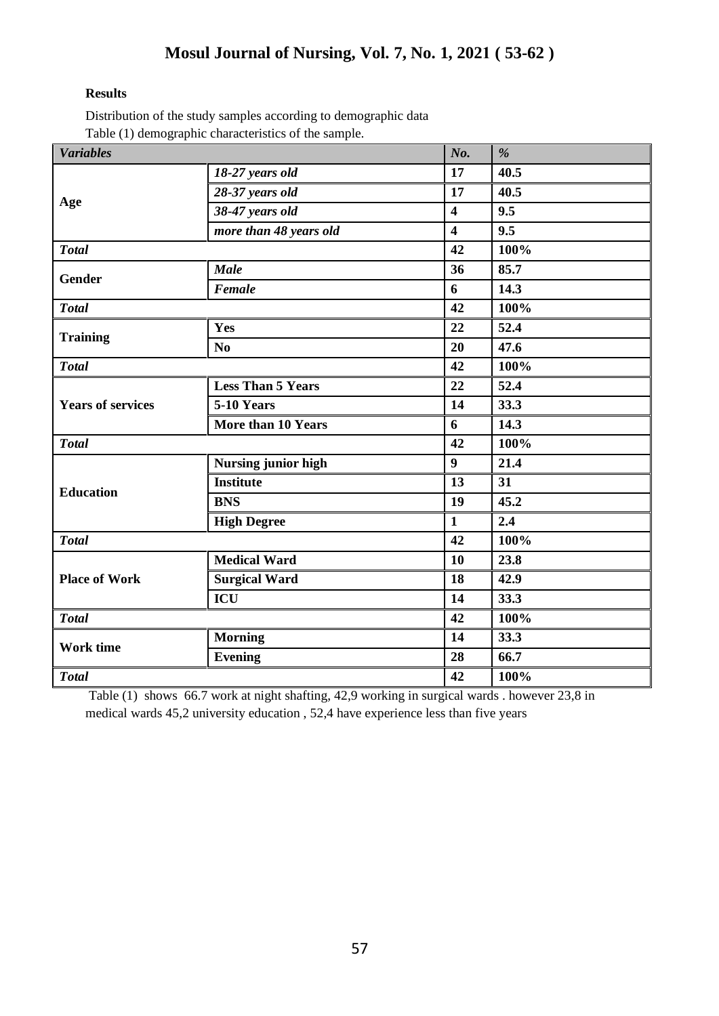# **Results**

Distribution of the study samples according to demographic data Table (1) demographic characteristics of the sample.

| <b>Variables</b>         | л.                         | No.                     | $\%$    |
|--------------------------|----------------------------|-------------------------|---------|
|                          | 18-27 years old            | 17                      | 40.5    |
|                          | 28-37 years old            | 17                      | 40.5    |
| Age                      | 38-47 years old            | $\overline{\mathbf{4}}$ | 9.5     |
|                          | more than 48 years old     | $\overline{\mathbf{4}}$ | 9.5     |
| <b>Total</b>             |                            | 42                      | 100%    |
| Gender                   | <b>Male</b>                | 36                      | 85.7    |
|                          | Female                     | 6                       | 14.3    |
| <b>Total</b>             |                            | 42                      | 100%    |
| <b>Training</b>          | Yes                        | 22                      | 52.4    |
|                          | N <sub>o</sub>             | 20                      | 47.6    |
| <b>Total</b>             |                            | 42                      | 100%    |
|                          | <b>Less Than 5 Years</b>   | 22                      | 52.4    |
| <b>Years of services</b> | 5-10 Years                 | 14                      | 33.3    |
|                          | More than 10 Years         | 6                       | 14.3    |
| <b>Total</b>             |                            | 42                      | 100%    |
|                          | <b>Nursing junior high</b> | $\boldsymbol{9}$        | 21.4    |
| <b>Education</b>         | <b>Institute</b>           | 13                      | 31      |
|                          | <b>BNS</b>                 | 19                      | 45.2    |
|                          | <b>High Degree</b>         | $\mathbf{1}$            | 2.4     |
| <b>Total</b>             |                            | 42                      | $100\%$ |
|                          | <b>Medical Ward</b>        | 10                      | 23.8    |
| <b>Place of Work</b>     | <b>Surgical Ward</b>       | 18                      | 42.9    |
|                          | <b>ICU</b>                 | 14                      | 33.3    |
| <b>Total</b>             |                            | 42                      | 100%    |
| <b>Work time</b>         | <b>Morning</b>             | 14                      | 33.3    |
|                          | Evening                    | 28                      | 66.7    |
| <b>Total</b>             |                            | 42                      | 100%    |

Table (1) shows 66.7 work at night shafting, 42,9 working in surgical wards . however 23,8 in medical wards 45,2 university education , 52,4 have experience less than five years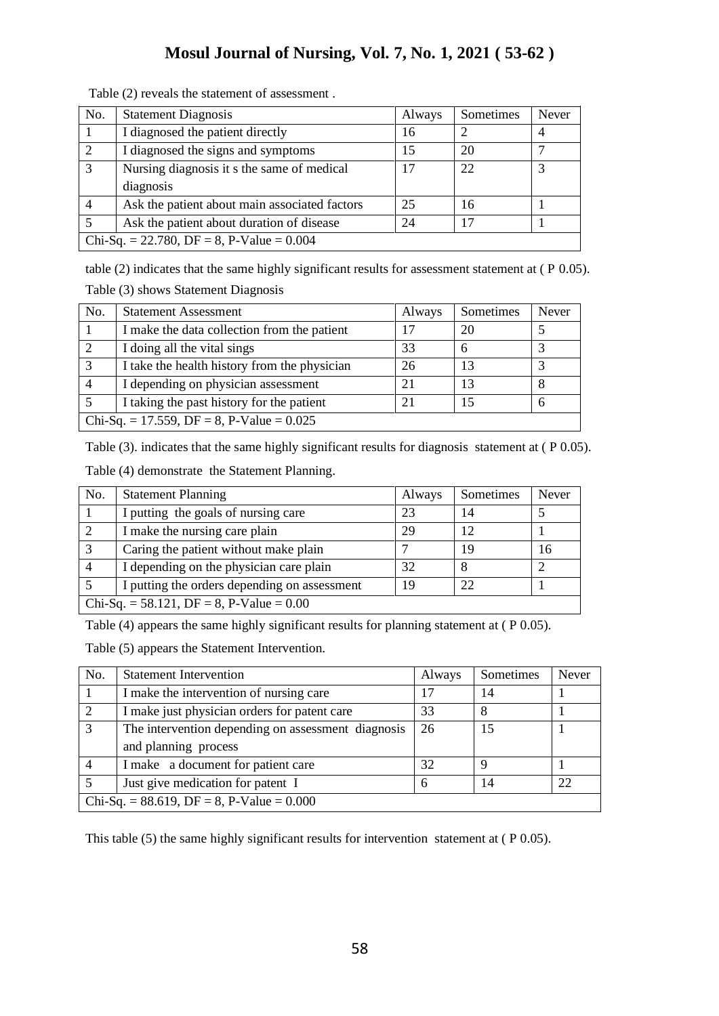| No.                                         | <b>Statement Diagnosis</b>                    | Always | Sometimes | <b>Never</b> |
|---------------------------------------------|-----------------------------------------------|--------|-----------|--------------|
|                                             | I diagnosed the patient directly              | 16     |           |              |
| 2                                           | I diagnosed the signs and symptoms            | 15     | 20        |              |
| 3                                           | Nursing diagnosis it s the same of medical    | 17     | 22        |              |
|                                             | diagnosis                                     |        |           |              |
| $\overline{4}$                              | Ask the patient about main associated factors | 25     | 16        |              |
|                                             | Ask the patient about duration of disease     | 24     | 17        |              |
| Chi-Sq. = 22.780, DF = 8, P-Value = $0.004$ |                                               |        |           |              |

Table (2) reveals the statement of assessment .

table (2) indicates that the same highly significant results for assessment statement at ( P 0.05). Table (3) shows Statement Diagnosis

| No.                                         | <b>Statement Assessment</b>                  | Always | Sometimes | Never |
|---------------------------------------------|----------------------------------------------|--------|-----------|-------|
|                                             | I make the data collection from the patient  | 17     | 20        |       |
|                                             | I doing all the vital sings                  | 33     |           |       |
| 3                                           | I take the health history from the physician | 26     | 13        |       |
|                                             | I depending on physician assessment          | 21     | 13        |       |
|                                             | I taking the past history for the patient    | 21     | 15        |       |
| Chi-Sq. = 17.559, DF = 8, P-Value = $0.025$ |                                              |        |           |       |

Table (3). indicates that the same highly significant results for diagnosis statement at (P 0.05).

|  | Table (4) demonstrate the Statement Planning. |
|--|-----------------------------------------------|
|--|-----------------------------------------------|

| No.                                        | <b>Statement Planning</b>                    | Always | Sometimes | Never |
|--------------------------------------------|----------------------------------------------|--------|-----------|-------|
|                                            | I putting the goals of nursing care          | 23     | 14        |       |
| 2                                          | I make the nursing care plain                | 29     | 12        |       |
|                                            | Caring the patient without make plain        |        | 19        | 16    |
| $\overline{4}$                             | I depending on the physician care plain      | 32     |           |       |
|                                            | I putting the orders depending on assessment | 19     | 22        |       |
| Chi-Sq. = 58.121, DF = 8, P-Value = $0.00$ |                                              |        |           |       |

Table (4) appears the same highly significant results for planning statement at ( P 0.05).

Table (5) appears the Statement Intervention.

| No.                                               | <b>Statement Intervention</b>                      | Always | Sometimes | Never |
|---------------------------------------------------|----------------------------------------------------|--------|-----------|-------|
|                                                   | I make the intervention of nursing care            | 17     | 14        |       |
| 2                                                 | I make just physician orders for patent care       | 33     | 8         |       |
| 3                                                 | The intervention depending on assessment diagnosis | 26     | 15        |       |
|                                                   | and planning process                               |        |           |       |
| $\overline{4}$                                    | I make a document for patient care                 | 32     | $\Omega$  |       |
|                                                   | Just give medication for patent I                  | 6      | 14        | 22    |
| Chi-Sq. = $88.619$ , DF = $8$ , P-Value = $0.000$ |                                                    |        |           |       |

This table (5) the same highly significant results for intervention statement at ( P 0.05).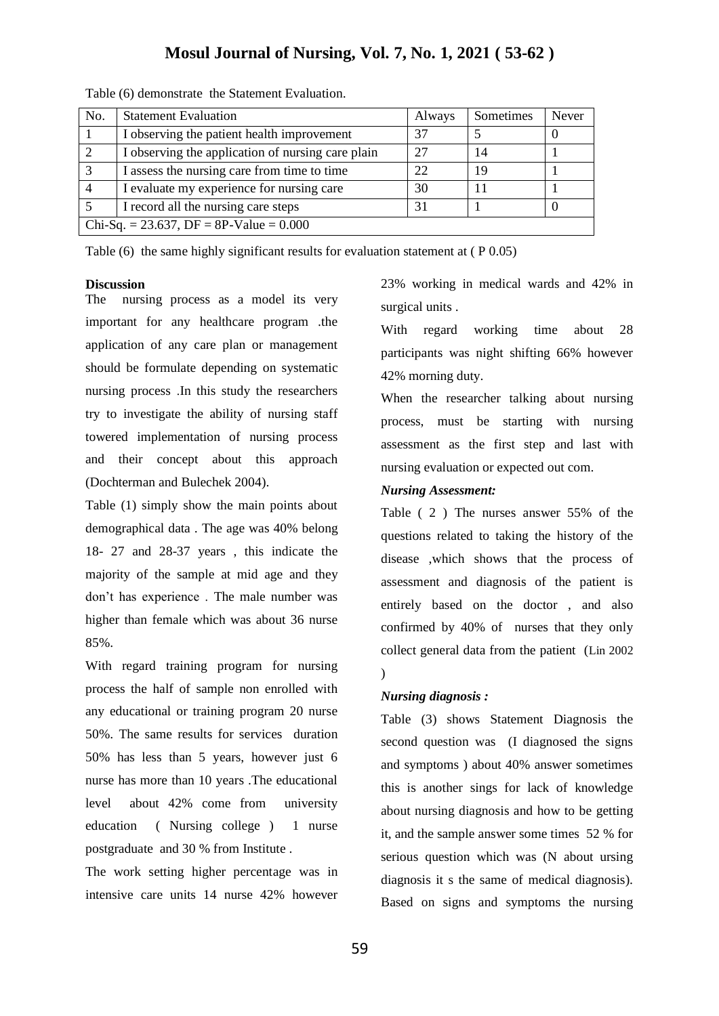| No.                                       | <b>Statement Evaluation</b>                       | Always | Sometimes | Never |
|-------------------------------------------|---------------------------------------------------|--------|-----------|-------|
|                                           | I observing the patient health improvement        | 37     |           |       |
|                                           | I observing the application of nursing care plain | 27     | 14        |       |
| $\mathbf{c}$                              | I assess the nursing care from time to time       | 22     | 19        |       |
|                                           | I evaluate my experience for nursing care         | 30     |           |       |
|                                           | I record all the nursing care steps               | 31     |           |       |
| Chi-Sq. = 23.637, DF = 8P-Value = $0.000$ |                                                   |        |           |       |

Table (6) demonstrate the Statement Evaluation.

Table (6) the same highly significant results for evaluation statement at ( P 0.05)

#### **Discussion**

The nursing process as a model its very important for any healthcare program .the application of any care plan or management should be formulate depending on systematic nursing process .In this study the researchers try to investigate the ability of nursing staff towered implementation of nursing process and their concept about this approach (Dochterman and Bulechek 2004).

Table (1) simply show the main points about demographical data . The age was 40% belong 18- 27 and 28-37 years , this indicate the majority of the sample at mid age and they don't has experience . The male number was higher than female which was about 36 nurse 85%.

With regard training program for nursing process the half of sample non enrolled with any educational or training program 20 nurse 50%. The same results for services duration 50% has less than 5 years, however just 6 nurse has more than 10 years .The educational level about 42% come from university education ( Nursing college ) 1 nurse postgraduate and 30 % from Institute .

The work setting higher percentage was in intensive care units 14 nurse 42% however 23% working in medical wards and 42% in surgical units .

With regard working time about 28 participants was night shifting 66% however 42% morning duty.

When the researcher talking about nursing process, must be starting with nursing assessment as the first step and last with nursing evaluation or expected out com.

#### *Nursing Assessment:*

Table ( 2 ) The nurses answer 55% of the questions related to taking the history of the disease ,which shows that the process of assessment and diagnosis of the patient is entirely based on the doctor , and also confirmed by 40% of nurses that they only collect general data from the patient (Lin 2002  $\lambda$ 

## *Nursing diagnosis :*

Table (3) shows Statement Diagnosis the second question was (I diagnosed the signs and symptoms ) about 40% answer sometimes this is another sings for lack of knowledge about nursing diagnosis and how to be getting it, and the sample answer some times 52 % for serious question which was (N about ursing diagnosis it s the same of medical diagnosis). Based on signs and symptoms the nursing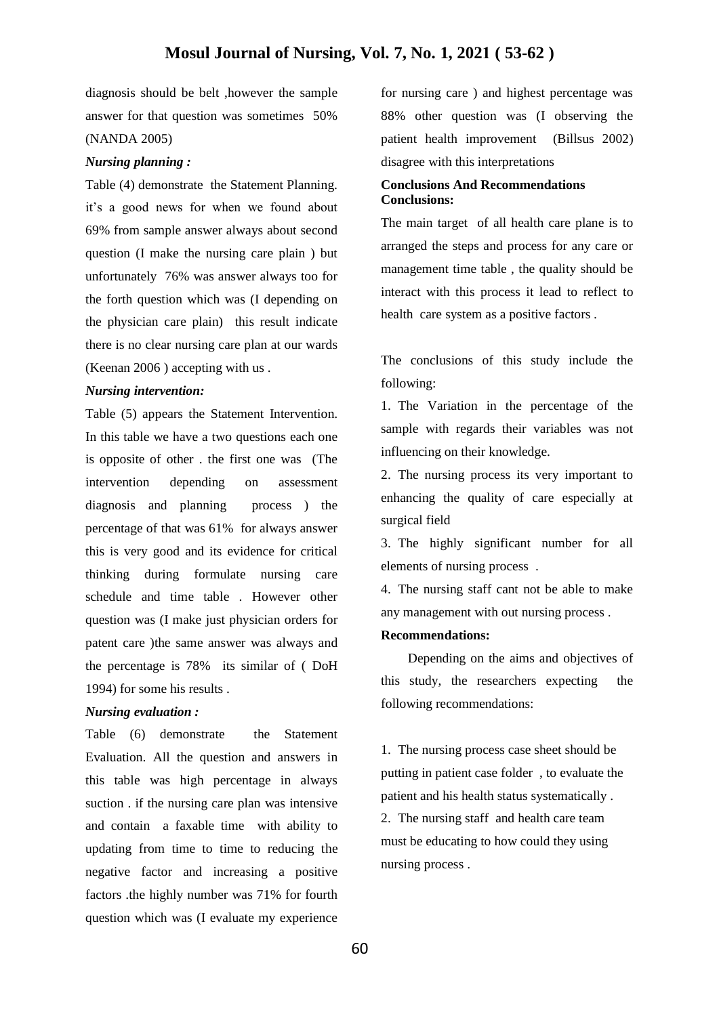diagnosis should be belt ,however the sample answer for that question was sometimes 50% (NANDA 2005)

#### *Nursing planning :*

Table (4) demonstrate the Statement Planning. it's a good news for when we found about 69% from sample answer always about second question (I make the nursing care plain ) but unfortunately 76% was answer always too for the forth question which was (I depending on the physician care plain) this result indicate there is no clear nursing care plan at our wards (Keenan 2006 ) accepting with us .

#### *Nursing intervention:*

Table (5) appears the Statement Intervention. In this table we have a two questions each one is opposite of other . the first one was (The intervention depending on assessment diagnosis and planning process ) the percentage of that was 61% for always answer this is very good and its evidence for critical thinking during formulate nursing care schedule and time table . However other question was (I make just physician orders for patent care )the same answer was always and the percentage is 78% its similar of ( DoH 1994) for some his results .

## *Nursing evaluation :*

Table (6) demonstrate the Statement Evaluation. All the question and answers in this table was high percentage in always suction . if the nursing care plan was intensive and contain a faxable time with ability to updating from time to time to reducing the negative factor and increasing a positive factors .the highly number was 71% for fourth question which was (I evaluate my experience

for nursing care ) and highest percentage was 88% other question was (I observing the patient health improvement (Billsus 2002) disagree with this interpretations

#### **Conclusions And Recommendations Conclusions:**

The main target of all health care plane is to arranged the steps and process for any care or management time table , the quality should be interact with this process it lead to reflect to health care system as a positive factors .

The conclusions of this study include the following:

1. The Variation in the percentage of the sample with regards their variables was not influencing on their knowledge.

2. The nursing process its very important to enhancing the quality of care especially at surgical field

3. The highly significant number for all elements of nursing process .

4. The nursing staff cant not be able to make any management with out nursing process .

#### **Recommendations:**

 Depending on the aims and objectives of this study, the researchers expecting the following recommendations:

1. The nursing process case sheet should be putting in patient case folder , to evaluate the patient and his health status systematically . 2. The nursing staff and health care team must be educating to how could they using nursing process .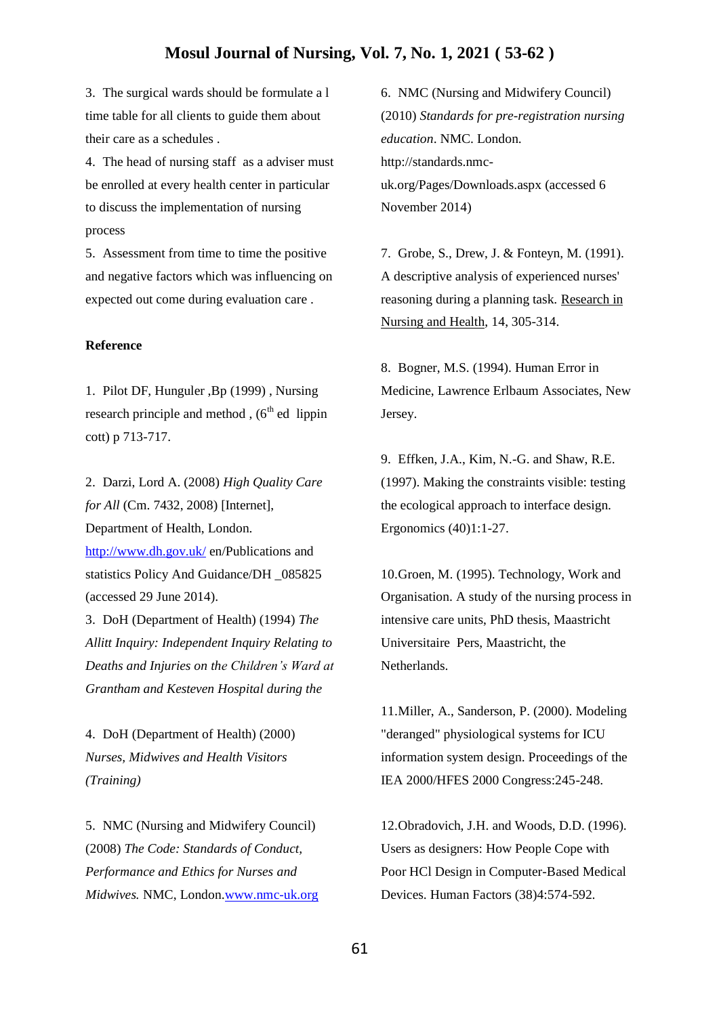3. The surgical wards should be formulate a l time table for all clients to guide them about their care as a schedules .

4. The head of nursing staff as a adviser must be enrolled at every health center in particular to discuss the implementation of nursing process

5. Assessment from time to time the positive and negative factors which was influencing on expected out come during evaluation care .

#### **Reference**

1. Pilot DF, Hunguler ,Bp (1999) , Nursing research principle and method ,  $(6<sup>th</sup>$  ed lippin cott) p 713-717.

2. Darzi, Lord A. (2008) *High Quality Care for All* (Cm. 7432, 2008) [Internet], Department of Health, London. <http://www.dh.gov.uk/> en/Publications and statistics Policy And Guidance/DH \_085825 (accessed 29 June 2014).

3. DoH (Department of Health) (1994) *The Allitt Inquiry: Independent Inquiry Relating to Deaths and Injuries on the Children's Ward at Grantham and Kesteven Hospital during the*

4. DoH (Department of Health) (2000) *Nurses, Midwives and Health Visitors (Training)*

5. NMC (Nursing and Midwifery Council) (2008) *The Code: Standards of Conduct, Performance and Ethics for Nurses and Midwives.* NMC, London[.www.nmc-uk.org](http://www.nmc-uk.org/)

6. NMC (Nursing and Midwifery Council) (2010) *Standards for pre-registration nursing education*. NMC. London. http://standards.nmcuk.org/Pages/Downloads.aspx (accessed 6 November 2014)

7. Grobe, S., Drew, J. & Fonteyn, M. (1991). A descriptive analysis of experienced nurses' reasoning during a planning task. Research in Nursing and Health, 14, 305-314.

8. Bogner, M.S. (1994). Human Error in Medicine, Lawrence Erlbaum Associates, New Jersey.

9. Effken, J.A., Kim, N.-G. and Shaw, R.E. (1997). Making the constraints visible: testing the ecological approach to interface design. Ergonomics (40)1:1-27.

10.Groen, M. (1995). Technology, Work and Organisation. A study of the nursing process in intensive care units, PhD thesis, Maastricht Universitaire Pers, Maastricht, the Netherlands.

11.Miller, A., Sanderson, P. (2000). Modeling "deranged" physiological systems for ICU information system design. Proceedings of the IEA 2000/HFES 2000 Congress:245-248.

12.Obradovich, J.H. and Woods, D.D. (1996). Users as designers: How People Cope with Poor HCl Design in Computer-Based Medical Devices. Human Factors (38)4:574-592.